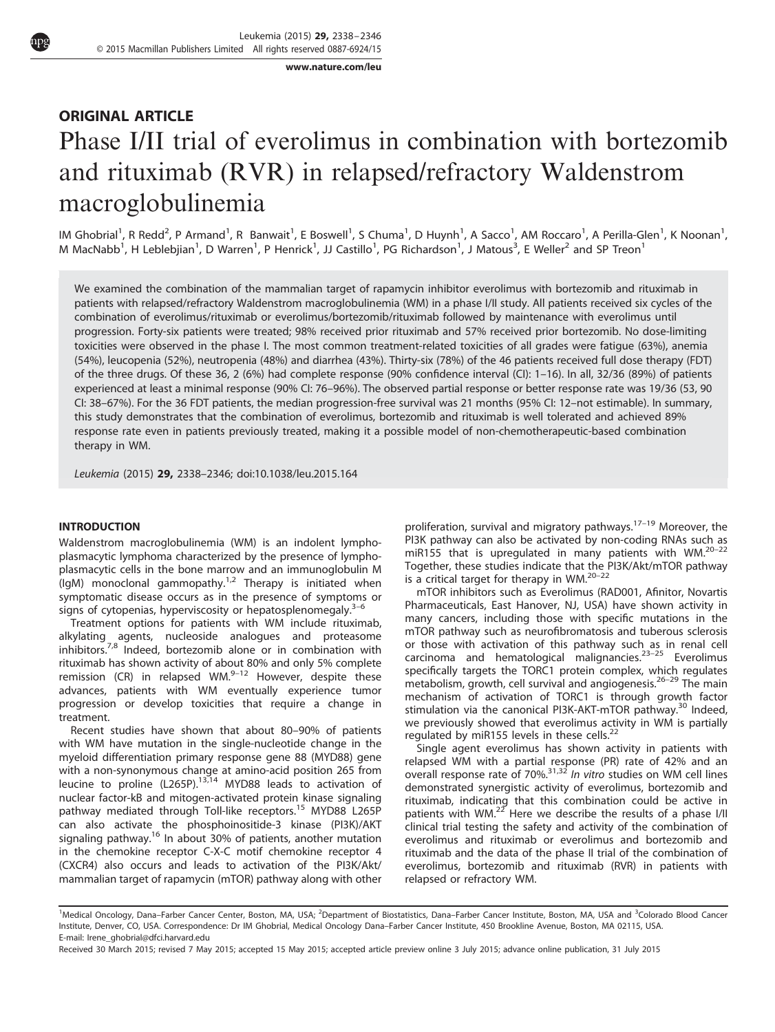[www.nature.com/leu](http://www.nature.com/leu)

# ORIGINAL ARTICLE Phase I/II trial of everolimus in combination with bortezomib and rituximab (RVR) in relapsed/refractory Waldenstrom macroglobulinemia

IM Ghobrial<sup>1</sup>, R Redd<sup>2</sup>, P Armand<sup>1</sup>, R Banwait<sup>1</sup>, E Boswell<sup>1</sup>, S Chuma<sup>1</sup>, D Huynh<sup>1</sup>, A Sacco<sup>1</sup>, AM Roccaro<sup>1</sup>, A Perilla-Glen<sup>1</sup>, K Noonan<sup>1</sup>, M MacNabb<sup>1</sup>, H Leblebjian<sup>1</sup>, D Warren<sup>1</sup>, P Henrick<sup>1</sup>, JJ Castillo<sup>1</sup>, PG Richardson<sup>1</sup>, J Matous<sup>3</sup>, E Weller<sup>2</sup> and SP Treon<sup>1</sup>

We examined the combination of the mammalian target of rapamycin inhibitor everolimus with bortezomib and rituximab in patients with relapsed/refractory Waldenstrom macroglobulinemia (WM) in a phase I/II study. All patients received six cycles of the combination of everolimus/rituximab or everolimus/bortezomib/rituximab followed by maintenance with everolimus until progression. Forty-six patients were treated; 98% received prior rituximab and 57% received prior bortezomib. No dose-limiting toxicities were observed in the phase I. The most common treatment-related toxicities of all grades were fatigue (63%), anemia (54%), leucopenia (52%), neutropenia (48%) and diarrhea (43%). Thirty-six (78%) of the 46 patients received full dose therapy (FDT) of the three drugs. Of these 36, 2 (6%) had complete response (90% confidence interval (CI): 1–16). In all, 32/36 (89%) of patients experienced at least a minimal response (90% CI: 76–96%). The observed partial response or better response rate was 19/36 (53, 90 CI: 38–67%). For the 36 FDT patients, the median progression-free survival was 21 months (95% CI: 12–not estimable). In summary, this study demonstrates that the combination of everolimus, bortezomib and rituximab is well tolerated and achieved 89% response rate even in patients previously treated, making it a possible model of non-chemotherapeutic-based combination therapy in WM.

Leukemia (2015) 29, 2338–2346; doi:[10.1038/leu.2015.164](http://dx.doi.org/10.1038/leu.2015.164)

#### INTRODUCTION

Waldenstrom macroglobulinemia (WM) is an indolent lymphoplasmacytic lymphoma characterized by the presence of lymphoplasmacytic cells in the bone marrow and an immunoglobulin M  $($ lgM) monoclonal gammopathy.<sup>[1,2](#page-7-0)</sup> Therapy is initiated when symptomatic disease occurs as in the presence of sympt[oms](#page-7-0) or signs of cytopenias, hyperviscosity or hepatosplenomegaly. $3-6$ 

Treatment options for patients with WM include rituximab, alkylating agents, nucleoside analogues and proteasome inhibitors[.7,8](#page-7-0) Indeed, bortezomib alone or in combination with rituximab has shown activity of about 80% and only 5% complete remission (CR) in relapsed WM. $^{9-12}$  $^{9-12}$  $^{9-12}$  However, despite these advances, patients with WM eventually experience tumor progression or develop toxicities that require a change in treatment.

Recent studies have shown that about 80–90% of patients with WM have mutation in the single-nucleotide change in the myeloid differentiation primary response gene 88 (MYD88) gene with a non-synonymous change at amino-acid position 265 from leucine to proline (L265P).<sup>[13](#page-7-0),[14](#page-7-0)</sup> MYD88 leads to activation of nuclear factor-kB and mitogen-activated protein kinase signaling pathway mediated through Toll-like receptors.<sup>[15](#page-7-0)</sup> MYD88 L265P can also activate the phosphoinositide-3 kinase (PI3K)/AKT signaling pathway.<sup>[16](#page-7-0)</sup> In about 30% of patients, another mutation in the chemokine receptor C-X-C motif chemokine receptor 4 (CXCR4) also occurs and leads to activation of the PI3K/Akt/ mammalian target of rapamycin (mTOR) pathway along with other proliferation, survival and migratory pathways.<sup>17-[19](#page-7-0)</sup> Moreover, the PI3K pathway can also be activated by non-coding RNAs such as miR155 that is upregulated in many patients with WM[.20](#page-7-0)–<sup>22</sup> Together, these studies indicate that [the P](#page-7-0)I3K/Akt/mTOR pathway is a critical target for therapy in WM.<sup>20-22</sup>

mTOR inhibitors such as Everolimus (RAD001, Afinitor, Novartis Pharmaceuticals, East Hanover, NJ, USA) have shown activity in many cancers, including those with specific mutations in the mTOR pathway such as neurofibromatosis and tuberous sclerosis or those with activation of this pathway suc[h as](#page-7-0) in renal cell carcinoma and hematological malignancies.23–<sup>25</sup> Everolimus specifically targets the TORC1 protein complex, [which](#page-7-0) regulates metabolism, growth, cell survival and angiogenesis.26–<sup>29</sup> The main mechanism of activation of TORC1 is through growth factor stimulation via the canonical PI3K-AKT-mTOR pathway.<sup>[30](#page-8-0)</sup> Indeed, we previously showed that everolimus activity in WM is partially regulated by miR155 levels in these cells.<sup>[22](#page-7-0)</sup>

Single agent everolimus has shown activity in patients with relapsed WM with a partial response (PR) rate of 42% and an overall response rate of 70%. $31,32$  In vitro studies on WM cell lines demonstrated synergistic activity of everolimus, bortezomib and rituximab, indicating that this combination could be active in patients with WM. $^{22}$  $^{22}$  $^{22}$  Here we describe the results of a phase I/II clinical trial testing the safety and activity of the combination of everolimus and rituximab or everolimus and bortezomib and rituximab and the data of the phase II trial of the combination of everolimus, bortezomib and rituximab (RVR) in patients with relapsed or refractory WM.

<sup>&</sup>lt;sup>1</sup>Medical Oncology, Dana–Farber Cancer Center, Boston, MA, USA; <sup>2</sup>Department of Biostatistics, Dana–Farber Cancer Institute, Boston, MA, USA and <sup>3</sup>Colorado Blood Cancer Institute, Denver, CO, USA. Correspondence: Dr IM Ghobrial, Medical Oncology Dana–Farber Cancer Institute, 450 Brookline Avenue, Boston, MA 02115, USA. E-mail: [Irene\\_ghobrial@dfci.harvard.edu](mailto:Irene_ghobrial@dfci.harvard.edu)

Received 30 March 2015; revised 7 May 2015; accepted 15 May 2015; accepted article preview online 3 July 2015; advance online publication, 31 July 2015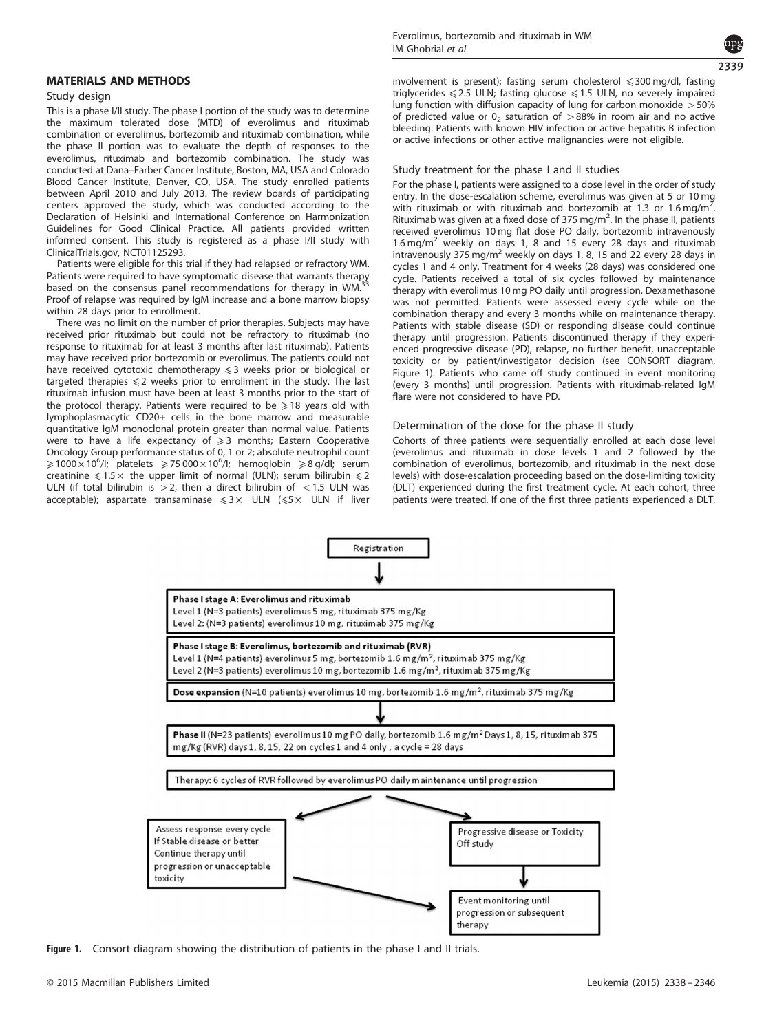#### <span id="page-1-0"></span>MATERIALS AND METHODS

#### Study design

This is a phase I/II study. The phase I portion of the study was to determine the maximum tolerated dose (MTD) of everolimus and rituximab combination or everolimus, bortezomib and rituximab combination, while the phase II portion was to evaluate the depth of responses to the everolimus, rituximab and bortezomib combination. The study was conducted at Dana–Farber Cancer Institute, Boston, MA, USA and Colorado Blood Cancer Institute, Denver, CO, USA. The study enrolled patients between April 2010 and July 2013. The review boards of participating centers approved the study, which was conducted according to the Declaration of Helsinki and International Conference on Harmonization Guidelines for Good Clinical Practice. All patients provided written informed consent. This study is registered as a phase I/II study with ClinicalTrials.gov, NCT01125293.

Patients were eligible for this trial if they had relapsed or refractory WM. Patients were required to have symptomatic disease that warrants therapy based on the consensus panel recommendations for therapy in WM. Proof of relapse was required by IgM increase and a bone marrow biopsy within 28 days prior to enrollment.

There was no limit on the number of prior therapies. Subjects may have received prior rituximab but could not be refractory to rituximab (no response to rituximab for at least 3 months after last rituximab). Patients may have received prior bortezomib or everolimus. The patients could not have received cytotoxic chemotherapy  $\leq 3$  weeks prior or biological or targeted therapies  $\leq 2$  weeks prior to enrollment in the study. The last rituximab infusion must have been at least 3 months prior to the start of the protocol therapy. Patients were required to be  $\geq 18$  years old with lymphoplasmacytic CD20+ cells in the bone marrow and measurable quantitative IgM monoclonal protein greater than normal value. Patients were to have a life expectancy of  $\geqslant$  3 months; Eastern Cooperative Oncology Group performance status of 0, 1 or 2; absolute neutrophil count  $\geqslant$ 1000 $\times$ 10<sup>6</sup>/l; platelets  $\geqslant$  75 000 $\times$ 10<sup>6</sup>/l; hemoglobin  $\geqslant$  8 g/dl; serum creatinine  $\leq 1.5 \times$  the upper limit of normal (ULN); serum bilirubin  $\leq 2$ ULN (if total bilirubin is  $>$  2, then a direct bilirubin of  $<$  1.5 ULN was acceptable); aspartate transaminase  $\leq 3 \times$  ULN  $(\leq 5 \times$  ULN if liver



involvement is present); fasting serum cholesterol  $\leqslant$  300 mg/dl, fasting triglycerides  $\leq 2.5$  ULN; fasting glucose  $\leq 1.5$  ULN, no severely impaired lung function with diffusion capacity of lung for carbon monoxide  $>50\%$ of predicted value or  $0<sub>2</sub>$  saturation of  $>88%$  in room air and no active bleeding. Patients with known HIV infection or active hepatitis B infection or active infections or other active malignancies were not eligible.

#### Study treatment for the phase I and II studies

For the phase I, patients were assigned to a dose level in the order of study entry. In the dose-escalation scheme, everolimus was given at 5 or 10 mg with rituximab or with rituximab and bortezomib at 1.3 or 1.6 mg/m<sup>2</sup>. . Rituximab was given at a fixed dose of 375 mg/m<sup>2</sup>. In the phase II, patients received everolimus 10 mg flat dose PO daily, bortezomib intravenously 1.6 mg/m<sup>2</sup> weekly on days 1, 8 and 15 every 28 days and rituximab intravenously 375 mg/m<sup>2</sup> weekly on days 1, 8, 15 and 22 every 28 days in cycles 1 and 4 only. Treatment for 4 weeks (28 days) was considered one cycle. Patients received a total of six cycles followed by maintenance therapy with everolimus 10 mg PO daily until progression. Dexamethasone was not permitted. Patients were assessed every cycle while on the combination therapy and every 3 months while on maintenance therapy. Patients with stable disease (SD) or responding disease could continue therapy until progression. Patients discontinued therapy if they experienced progressive disease (PD), relapse, no further benefit, unacceptable toxicity or by patient/investigator decision (see CONSORT diagram, Figure 1). Patients who came off study continued in event monitoring (every 3 months) until progression. Patients with rituximab-related IgM flare were not considered to have PD.

#### Determination of the dose for the phase II study

Cohorts of three patients were sequentially enrolled at each dose level (everolimus and rituximab in dose levels 1 and 2 followed by the combination of everolimus, bortezomib, and rituximab in the next dose levels) with dose-escalation proceeding based on the dose-limiting toxicity (DLT) experienced during the first treatment cycle. At each cohort, three patients were treated. If one of the first three patients experienced a DLT,



Figure 1. Consort diagram showing the distribution of patients in the phase I and II trials.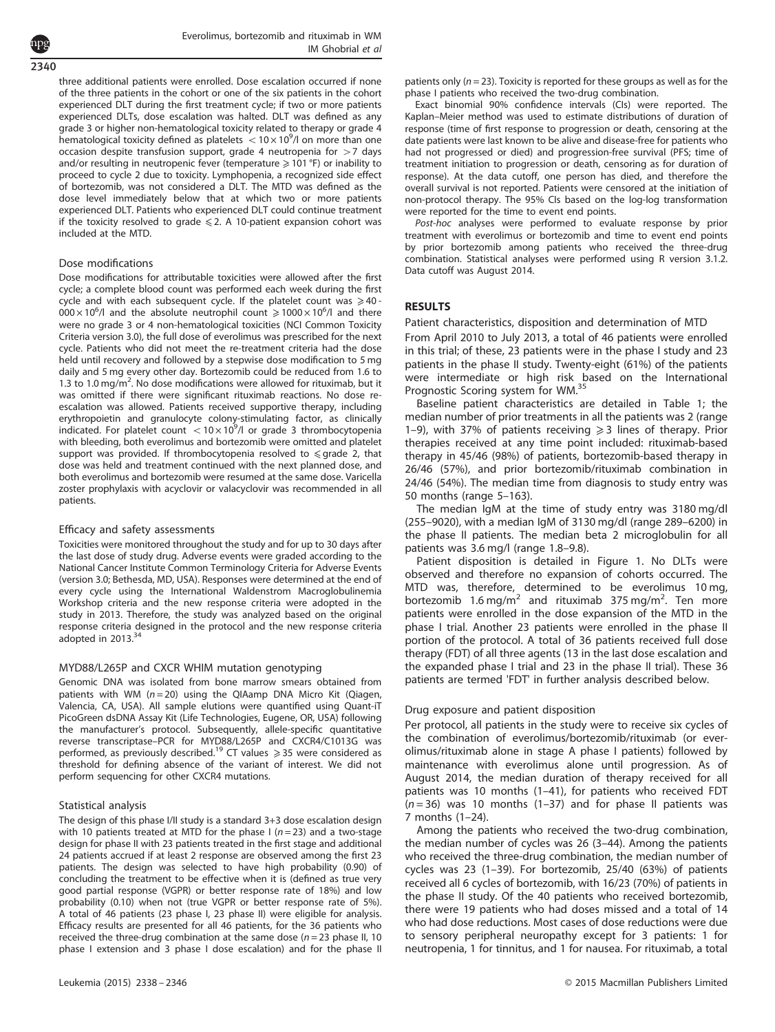2340

three additional patients were enrolled. Dose escalation occurred if none of the three patients in the cohort or one of the six patients in the cohort experienced DLT during the first treatment cycle; if two or more patients experienced DLTs, dose escalation was halted. DLT was defined as any grade 3 or higher non-hematological toxicity related to therapy or grade 4 hematological toxicity defined as platelets  $<$  10  $\times$  10<sup>9</sup>/l on more than one occasion despite transfusion support, grade 4 neutropenia for  $>7$  days and/or resulting in neutropenic fever (temperature  $\geq 101$  °F) or inability to proceed to cycle 2 due to toxicity. Lymphopenia, a recognized side effect of bortezomib, was not considered a DLT. The MTD was defined as the dose level immediately below that at which two or more patients experienced DLT. Patients who experienced DLT could continue treatment if the toxicity resolved to grade  $\leq 2$ . A 10-patient expansion cohort was included at the MTD.

#### Dose modifications

Dose modifications for attributable toxicities were allowed after the first cycle; a complete blood count was performed each week during the first cycle and with each subsequent cycle. If the platelet count was  $\geq 40$  - $0.00 \times 10^6$ /l and the absolute neutrophil count  $\geq 1000 \times 10^6$ /l and there were no grade 3 or 4 non-hematological toxicities (NCI Common Toxicity Criteria version 3.0), the full dose of everolimus was prescribed for the next cycle. Patients who did not meet the re-treatment criteria had the dose held until recovery and followed by a stepwise dose modification to 5 mg daily and 5 mg every other day. Bortezomib could be reduced from 1.6 to 1.3 to 1.0 mg/ $m^2$ . No dose modifications were allowed for rituximab, but it was omitted if there were significant rituximab reactions. No dose reescalation was allowed. Patients received supportive therapy, including erythropoietin and granulocyte colony-stimulating factor, as clinically indicated. For platelet count  $\sim$  10  $\times$  10<sup>9</sup>/l or grade 3 thrombocytopenia with bleeding, both everolimus and bortezomib were omitted and platelet support was provided. If thrombocytopenia resolved to  $\leq$  grade 2, that dose was held and treatment continued with the next planned dose, and both everolimus and bortezomib were resumed at the same dose. Varicella zoster prophylaxis with acyclovir or valacyclovir was recommended in all patients.

#### Efficacy and safety assessments

Toxicities were monitored throughout the study and for up to 30 days after the last dose of study drug. Adverse events were graded according to the National Cancer Institute Common Terminology Criteria for Adverse Events (version 3.0; Bethesda, MD, USA). Responses were determined at the end of every cycle using the International Waldenstrom Macroglobulinemia Workshop criteria and the new response criteria were adopted in the study in 2013. Therefore, the study was analyzed based on the original response criteria designed in the protocol and the new response criteria adopted in  $2013.<sup>34</sup>$  $2013.<sup>34</sup>$  $2013.<sup>34</sup>$ 

#### MYD88/L265P and CXCR WHIM mutation genotyping

Genomic DNA was isolated from bone marrow smears obtained from patients with WM  $(n=20)$  using the QIAamp DNA Micro Kit (Qiagen, Valencia, CA, USA). All sample elutions were quantified using Quant-iT PicoGreen dsDNA Assay Kit (Life Technologies, Eugene, OR, USA) following the manufacturer's protocol. Subsequently, allele-specific quantitative reverse transcriptase–PCR for MYD88/L265P and CXCR4/C1013G was performed, as previously described.<sup>[19](#page-7-0)</sup> CT values  $\geq$  35 were considered as threshold for defining absence of the variant of interest. We did not perform sequencing for other CXCR4 mutations.

#### Statistical analysis

The design of this phase I/II study is a standard 3+3 dose escalation design with 10 patients treated at MTD for the phase I ( $n = 23$ ) and a two-stage design for phase II with 23 patients treated in the first stage and additional 24 patients accrued if at least 2 response are observed among the first 23 patients. The design was selected to have high probability (0.90) of concluding the treatment to be effective when it is (defined as true very good partial response (VGPR) or better response rate of 18%) and low probability (0.10) when not (true VGPR or better response rate of 5%). A total of 46 patients (23 phase I, 23 phase II) were eligible for analysis. Efficacy results are presented for all 46 patients, for the 36 patients who received the three-drug combination at the same dose ( $n = 23$  phase II, 10 phase I extension and 3 phase I dose escalation) and for the phase II patients only ( $n = 23$ ). Toxicity is reported for these groups as well as for the phase I patients who received the two-drug combination.

Exact binomial 90% confidence intervals (CIs) were reported. The Kaplan–Meier method was used to estimate distributions of duration of response (time of first response to progression or death, censoring at the date patients were last known to be alive and disease-free for patients who had not progressed or died) and progression-free survival (PFS; time of treatment initiation to progression or death, censoring as for duration of response). At the data cutoff, one person has died, and therefore the overall survival is not reported. Patients were censored at the initiation of non-protocol therapy. The 95% CIs based on the log-log transformation were reported for the time to event end points.

Post-hoc analyses were performed to evaluate response by prior treatment with everolimus or bortezomib and time to event end points by prior bortezomib among patients who received the three-drug combination. Statistical analyses were performed using R version 3.1.2. Data cutoff was August 2014.

#### RESULTS

#### Patient characteristics, disposition and determination of MTD

From April 2010 to July 2013, a total of 46 patients were enrolled in this trial; of these, 23 patients were in the phase I study and 23 patients in the phase II study. Twenty-eight (61%) of the patients were intermediate or high risk based on the International Prognostic Scoring system for WM[.35](#page-8-0)

Baseline patient characteristics are detailed in [Table 1](#page-3-0); the median number of prior treatments in all the patients was 2 (range 1–9), with 37% of patients receiving  $\geq$  3 lines of therapy. Prior therapies received at any time point included: rituximab-based therapy in 45/46 (98%) of patients, bortezomib-based therapy in 26/46 (57%), and prior bortezomib/rituximab combination in 24/46 (54%). The median time from diagnosis to study entry was 50 months (range 5–163).

The median IgM at the time of study entry was 3180 mg/dl (255–9020), with a median IgM of 3130 mg/dl (range 289–6200) in the phase II patients. The median beta 2 microglobulin for all patients was 3.6 mg/l (range 1.8–9.8).

Patient disposition is detailed in [Figure 1](#page-1-0). No DLTs were observed and therefore no expansion of cohorts occurred. The MTD was, therefore, determined to be everolimus 10 mg, bortezomib  $1.6 \text{ mg/m}^2$  and rituximab 375 mg/m<sup>2</sup>. Ten more patients were enrolled in the dose expansion of the MTD in the phase I trial. Another 23 patients were enrolled in the phase II portion of the protocol. A total of 36 patients received full dose therapy (FDT) of all three agents (13 in the last dose escalation and the expanded phase I trial and 23 in the phase II trial). These 36 patients are termed 'FDT' in further analysis described below.

#### Drug exposure and patient disposition

Per protocol, all patients in the study were to receive six cycles of the combination of everolimus/bortezomib/rituximab (or everolimus/rituximab alone in stage A phase I patients) followed by maintenance with everolimus alone until progression. As of August 2014, the median duration of therapy received for all patients was 10 months (1–41), for patients who received FDT  $(n=36)$  was 10 months (1-37) and for phase II patients was 7 months (1–24).

Among the patients who received the two-drug combination, the median number of cycles was 26 (3–44). Among the patients who received the three-drug combination, the median number of cycles was 23 (1–39). For bortezomib, 25/40 (63%) of patients received all 6 cycles of bortezomib, with 16/23 (70%) of patients in the phase II study. Of the 40 patients who received bortezomib, there were 19 patients who had doses missed and a total of 14 who had dose reductions. Most cases of dose reductions were due to sensory peripheral neuropathy except for 3 patients: 1 for neutropenia, 1 for tinnitus, and 1 for nausea. For rituximab, a total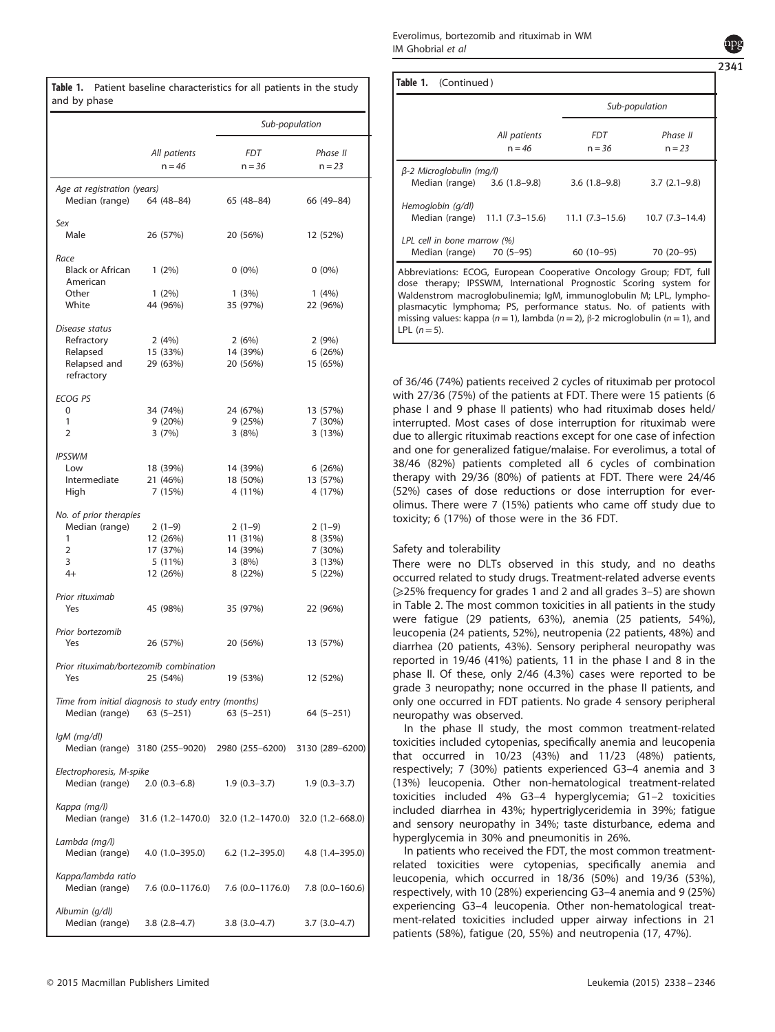<span id="page-3-0"></span>

| and by phase                                                          |                                      | Sub-population                                       |                      |
|-----------------------------------------------------------------------|--------------------------------------|------------------------------------------------------|----------------------|
|                                                                       |                                      |                                                      |                      |
|                                                                       | All patients<br>$n = 46$             | <b>FDT</b><br>$n = 36$                               | Phase II<br>$n = 23$ |
|                                                                       |                                      |                                                      |                      |
| Age at registration (years)                                           | Median (range) 64 (48-84) 65 (48-84) |                                                      | 66 (49-84)           |
| Sex<br>Male                                                           | 26 (57%)                             | 20 (56%)                                             | 12 (52%)             |
| Race<br>Black or African 1 (2%)<br>American                           |                                      | $0(0\%)$                                             | $0(0\%)$             |
| Other<br>White                                                        | $1(2\%)$<br>44 (96%)                 | 1(3%)<br>35 (97%)                                    | 1(4%)<br>22 (96%)    |
| Disease status                                                        |                                      |                                                      |                      |
| Refractory                                                            | 2 (4%)                               | 2 (6%)                                               | 2(9%)                |
| Relapsed                                                              | 15 (33%)                             | 14 (39%)                                             | 6(26%)               |
| Relapsed and<br>refractory                                            | 29 (63%)                             | 20 (56%)                                             | 15 (65%)             |
| <b>ECOG PS</b>                                                        |                                      |                                                      |                      |
| 0                                                                     | 34 (74%)                             | 24 (67%)                                             | 13 (57%)             |
| 1<br>2                                                                | 9 (20%)<br>3 (7%)                    | 9 (25%)<br>3(8%)                                     | 7 (30%)<br>3(13%)    |
| <b>IPSSWM</b>                                                         |                                      |                                                      |                      |
| Low                                                                   | 18 (39%)                             | 14 (39%)                                             | 6 (26%)              |
| Intermediate<br>High                                                  | 21 (46%)<br>7 (15%)                  | 18 (50%)<br>4 (11%)                                  | 13 (57%)<br>4 (17%)  |
| No. of prior therapies                                                |                                      |                                                      |                      |
| Median (range)<br>1                                                   | $2(1-9)$<br>12 (26%)                 | $2(1-9)$<br>11 (31%)                                 | $2(1-9)$<br>8 (35%)  |
| $\overline{2}$                                                        | 17 (37%)                             | 14 (39%)                                             | 7 (30%)              |
| 3                                                                     | 5 (11%)                              | 3 (8%)                                               | 3(13%)               |
| $4+$                                                                  | 12 (26%)                             | 8 (22%)                                              | 5 (22%)              |
| Prior rituximab<br>Yes                                                | 45 (98%)                             | 35 (97%)                                             | 22 (96%)             |
| Prior bortezomib<br>Yes                                               | 26 (57%)                             | 20 (56%)                                             | 13 (57%)             |
| Prior rituximab/bortezomib combination<br>Yes                         | 25 (54%)                             | 19 (53%)                                             | 12 (52%)             |
| Time from initial diagnosis to study entry (months)<br>Median (range) | $63(5-251)$                          | $63(5 - 251)$                                        | $64(5 - 251)$        |
| lgM (mg/dl)                                                           |                                      | Median (range) 3180 (255-9020) 2980 (255-6200)       | 3130 (289-6200)      |
| Electrophoresis, M-spike                                              | Median (range) 2.0 (0.3–6.8)         | $1.9(0.3-3.7)$                                       | $1.9(0.3-3.7)$       |
| Kappa (mg/l)<br>Median (range)                                        |                                      | 31.6 (1.2–1470.0) 32.0 (1.2–1470.0) 32.0 (1.2–668.0) |                      |
| Lambda (mg/l)<br>Median (range)                                       | 4.0 (1.0–395.0)                      | 6.2 (1.2–395.0)                                      | $4.8(1.4 - 395.0)$   |
| Kappa/lambda ratio<br>Median (range)                                  | 7.6 (0.0-1176.0)                     | 7.6 (0.0–1176.0)                                     | $7.8$ (0.0-160.6)    |
| Albumin (g/dl)<br>Median (range)                                      | $3.8(2.8-4.7)$                       | $3.8(3.0-4.7)$                                       | 3.7 (3.0–4.7)        |

|                                                         |                              |                                                | Sub-population       |
|---------------------------------------------------------|------------------------------|------------------------------------------------|----------------------|
|                                                         | All patients<br>$n = 46$     | <i>FDT</i><br>$n = 36$                         | Phase II<br>$n = 23$ |
| $\beta$ -2 Microglobulin (mg/l)                         | Median (range) 3.6 (1.8–9.8) | $3.6(1.8-9.8)$                                 | $3.7(2.1-9.8)$       |
| Hemoglobin (g/dl)                                       |                              | Median (range) 11.1 (7.3–15.6) 11.1 (7.3–15.6) | $10.7(7.3-14.4)$     |
| LPL cell in bone marrow (%)<br>Median (range) 70 (5–95) |                              | 60 (10–95)                                     | 70 (20-95)           |

of 36/46 (74%) patients received 2 cycles of rituximab per protocol with 27/36 (75%) of the patients at FDT. There were 15 patients (6 phase I and 9 phase II patients) who had rituximab doses held/ interrupted. Most cases of dose interruption for rituximab were due to allergic rituximab reactions except for one case of infection and one for generalized fatigue/malaise. For everolimus, a total of 38/46 (82%) patients completed all 6 cycles of combination therapy with 29/36 (80%) of patients at FDT. There were 24/46 (52%) cases of dose reductions or dose interruption for everolimus. There were 7 (15%) patients who came off study due to toxicity; 6 (17%) of those were in the 36 FDT.

# Safety and tolerability

There were no DLTs observed in this study, and no deaths occurred related to study drugs. Treatment-related adverse events (⩾25% frequency for grades 1 and 2 and all grades 3–5) are shown in [Table 2.](#page-4-0) The most common toxicities in all patients in the study were fatigue (29 patients, 63%), anemia (25 patients, 54%), leucopenia (24 patients, 52%), neutropenia (22 patients, 48%) and diarrhea (20 patients, 43%). Sensory peripheral neuropathy was reported in 19/46 (41%) patients, 11 in the phase I and 8 in the phase II. Of these, only 2/46 (4.3%) cases were reported to be grade 3 neuropathy; none occurred in the phase II patients, and only one occurred in FDT patients. No grade 4 sensory peripheral neuropathy was observed.

In the phase II study, the most common treatment-related toxicities included cytopenias, specifically anemia and leucopenia that occurred in 10/23 (43%) and 11/23 (48%) patients, respectively; 7 (30%) patients experienced G3–4 anemia and 3 (13%) leucopenia. Other non-hematological treatment-related toxicities included 4% G3–4 hyperglycemia; G1–2 toxicities included diarrhea in 43%; hypertriglyceridemia in 39%; fatigue and sensory neuropathy in 34%; taste disturbance, edema and hyperglycemia in 30% and pneumonitis in 26%.

In patients who received the FDT, the most common treatmentrelated toxicities were cytopenias, specifically anemia and leucopenia, which occurred in 18/36 (50%) and 19/36 (53%), respectively, with 10 (28%) experiencing G3–4 anemia and 9 (25%) experiencing G3–4 leucopenia. Other non-hematological treatment-related toxicities included upper airway infections in 21 patients (58%), fatigue (20, 55%) and neutropenia (17, 47%).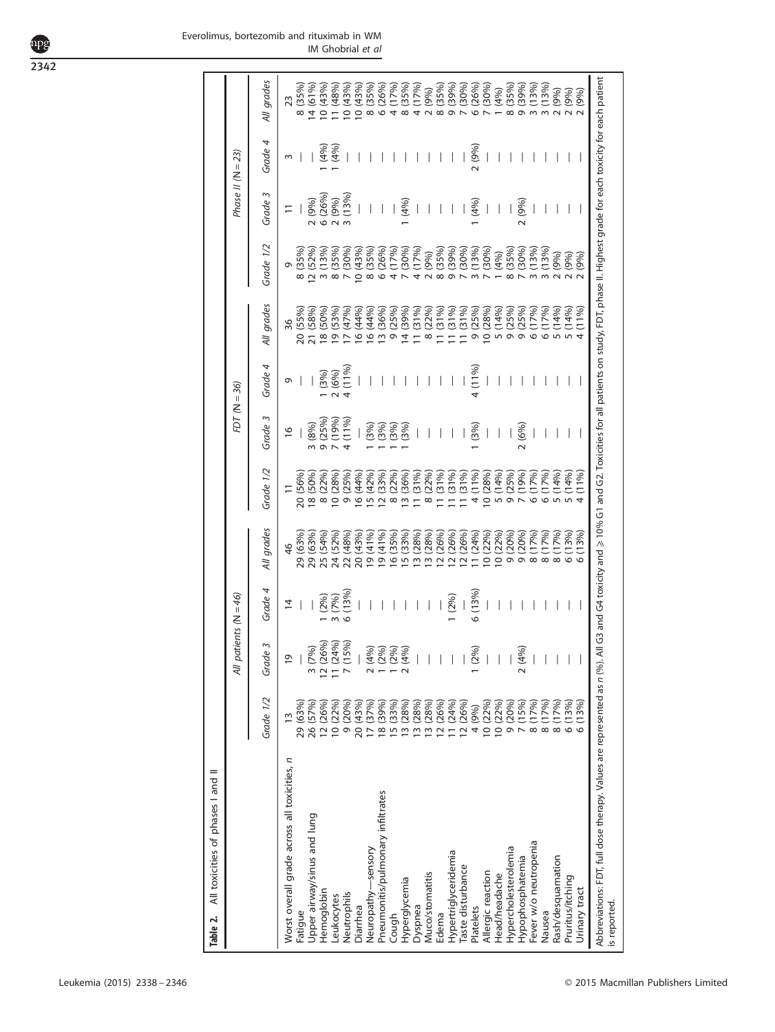<span id="page-4-0"></span>2342

|  | Everolimus, bortezomib and rituximab in WM |                   |  |
|--|--------------------------------------------|-------------------|--|
|  |                                            | IM Ghobrial et al |  |

| Grade 4<br>(4%)<br>(4%)<br>2(9%)<br>Phase II ( $N = 23$ )<br>Grade 3<br>(13%)<br>6 (26%<br>2(9%)<br>2 (9%)<br>(4%)<br>2(9%)<br>1(4%)<br>$\infty$<br>Grade 1/2<br>12 (52%)<br>3 (13%)<br>8 (35%)<br>7 (30%)<br>10 (43%)<br>8 (35%)<br>8 (35%)<br>6 (26%)<br>4 (17%)<br>(30%)<br>(17%)<br>(35%)<br>(39%)<br>(30%)<br>(13%)<br>(30%)<br>(35%)<br>(30%)<br>(13%)<br>(13%)<br>2(9%)<br>(4%)<br>(9%)<br>2(9%)<br>$\overline{0}$<br>$\overline{\circ}$<br>4<br>$\sim$<br>$\infty$<br>All grades<br>(39%)<br>11(31%)<br>(25%)<br>10 (28%)<br>(14%)<br>(55%)<br>21 (58%)<br>18 (50%)<br>(53%)<br>17 (47%)<br>16 (44%)<br>16 (44%)<br>13 (36%)<br>(25%)<br>(31%)<br>(22%)<br>(31%)<br>11 (31%)<br>9 (25%)<br>9 (25%)<br>(17%)<br>(17%)<br>(14%)<br>(14%)<br>36<br>$\frac{19}{1}$<br>$\frac{0}{2}$<br>$\leq$<br>$\overline{\circ}$<br>$\frac{1}{4}$<br>$\bar{\circ}$<br>o<br>$\circ$<br>Grade 4<br>$\begin{array}{c} 2 \ (6\%) \\ 4 \ (11\%) \end{array}$<br>4 (11%)<br>1(3%)<br>G<br>FDT ( $N = 36$ )<br>Grade 3<br>(25%)<br>(19%)<br>(11%)<br>3 (8%)<br>(3%)<br>(3%)<br>(3%)<br>(3%)<br>(6%)<br>(3%)<br>$\frac{6}{2}$<br>Ō<br>Grade 1/2<br>4 (11%)<br>(14%)<br>(25%)<br>20 (56%)<br>18 (50%)<br>(22%)<br>10 (28%)<br>9 (25%)<br>16(44%<br>15 (42%)<br>(33%)<br>(22%)<br>(36%)<br>(31%)<br>(22%)<br>(31%)<br>(31%)<br>11(31%)<br>10 (28%)<br>(19%)<br>(17%)<br>(17%)<br>5(14%)<br>(14%)<br>$\overline{1}$<br>$\overline{\circ}$<br>$\overline{5}$<br>Ξ<br>$\overline{\circ}$<br>$\overline{C}$<br>$\infty$<br>$\equiv$<br>$\circ$<br>O<br>All grades<br>29 (63%)<br>29 (63%)<br>25 (54%)<br>24 (52%)<br>22 (48%)<br>20 (43%)<br>19 (41%)<br>19(41%<br>16 (35%)<br>15 (33%)<br>13 (28%)<br>10(22%)<br>0(22%)<br>(20%)<br>(20%)<br>(13%)<br>13 (28%<br>(26%)<br>12 (26%<br>12 (26%<br>11 (24%<br>(17%)<br>(17%)<br>(17%)<br>$\frac{4}{6}$<br>$\overline{2}$<br>$\overline{0}$<br>$\sigma$<br>O<br>$\infty$<br>$\infty$<br>$\infty$<br>Grade 4<br>(13%)<br>(13%)<br>All patients $(N = 46)$<br>(96)<br>$(9\%)$<br>(2%)<br>$\overline{4}$<br>12 (26%)<br>11 (24%)<br>7 (15%)<br>Grade 3<br>3(7%)<br>2(4%)<br>$1 (2\%)$<br>1 (2%)<br>2(4%)<br>2(4%)<br>1 (2%)<br>$\overline{0}$<br>Grade 1/2<br>(13%)<br>3 (28%)<br>3 (28%)<br>2 (26%)<br>11 (24%<br>12 (26%)<br>9 (20%)<br>(15%)<br>(17%)<br>8 (17%)<br>8 (17%)<br>29 (63%)<br>26 (57%)<br>12 (26%)<br>9 (20%)<br>20 (43%)<br>17 (37%)<br>8 (39%)<br>5 (33%)<br>3 (28%)<br>10(22%)<br>10 (22%)<br>10 (22%<br>4 (9%)<br>$\frac{3}{2}$<br>$\frac{8}{6}$<br>$\frac{1}{\sigma}$<br>$\overline{a}$<br>Worst overall grade across all toxicities, n<br>Pneumonitis/pulmonary infiltrates<br>Upper airway/sinus and lung<br>Fever w/o neutropenia<br>Hypercholesterolemia<br>Neuropathy-sensory<br>Hypertriglyceridemia<br>Hypophosphatemia<br>Rash/desquamation<br>Taste disturbance<br>Allergic reaction<br>Muco/stomatitis<br>Head/headache<br>Pruritus/itching<br>Hyperglycemia<br>Hemoglobin<br>Neutrophils<br>Leukocytes<br>Dyspnea<br>Diarrhea<br>Platelets<br>Fatigue<br>Nausea<br>Edema<br>Cough | All toxicities of phases I and II<br>Table 2. |                  |  |       |       |  |       |      |  |                   |
|--------------------------------------------------------------------------------------------------------------------------------------------------------------------------------------------------------------------------------------------------------------------------------------------------------------------------------------------------------------------------------------------------------------------------------------------------------------------------------------------------------------------------------------------------------------------------------------------------------------------------------------------------------------------------------------------------------------------------------------------------------------------------------------------------------------------------------------------------------------------------------------------------------------------------------------------------------------------------------------------------------------------------------------------------------------------------------------------------------------------------------------------------------------------------------------------------------------------------------------------------------------------------------------------------------------------------------------------------------------------------------------------------------------------------------------------------------------------------------------------------------------------------------------------------------------------------------------------------------------------------------------------------------------------------------------------------------------------------------------------------------------------------------------------------------------------------------------------------------------------------------------------------------------------------------------------------------------------------------------------------------------------------------------------------------------------------------------------------------------------------------------------------------------------------------------------------------------------------------------------------------------------------------------------------------------------------------------------------------------------------------------------------------------------------------------------------------------------------------------------------------------------------------------------------------------------------------------------------------------------------------------------------------------------------------------------------------------------------------------------------------------------------------------------------------------------------------------------------------------------------------------------------------------------------------------------------------------------------------------------------------------------------------------|-----------------------------------------------|------------------|--|-------|-------|--|-------|------|--|-------------------|
|                                                                                                                                                                                                                                                                                                                                                                                                                                                                                                                                                                                                                                                                                                                                                                                                                                                                                                                                                                                                                                                                                                                                                                                                                                                                                                                                                                                                                                                                                                                                                                                                                                                                                                                                                                                                                                                                                                                                                                                                                                                                                                                                                                                                                                                                                                                                                                                                                                                                                                                                                                                                                                                                                                                                                                                                                                                                                                                                                                                                                                      |                                               |                  |  |       |       |  |       |      |  |                   |
|                                                                                                                                                                                                                                                                                                                                                                                                                                                                                                                                                                                                                                                                                                                                                                                                                                                                                                                                                                                                                                                                                                                                                                                                                                                                                                                                                                                                                                                                                                                                                                                                                                                                                                                                                                                                                                                                                                                                                                                                                                                                                                                                                                                                                                                                                                                                                                                                                                                                                                                                                                                                                                                                                                                                                                                                                                                                                                                                                                                                                                      |                                               |                  |  |       |       |  |       |      |  | All grades        |
|                                                                                                                                                                                                                                                                                                                                                                                                                                                                                                                                                                                                                                                                                                                                                                                                                                                                                                                                                                                                                                                                                                                                                                                                                                                                                                                                                                                                                                                                                                                                                                                                                                                                                                                                                                                                                                                                                                                                                                                                                                                                                                                                                                                                                                                                                                                                                                                                                                                                                                                                                                                                                                                                                                                                                                                                                                                                                                                                                                                                                                      |                                               |                  |  |       |       |  |       |      |  | 23                |
|                                                                                                                                                                                                                                                                                                                                                                                                                                                                                                                                                                                                                                                                                                                                                                                                                                                                                                                                                                                                                                                                                                                                                                                                                                                                                                                                                                                                                                                                                                                                                                                                                                                                                                                                                                                                                                                                                                                                                                                                                                                                                                                                                                                                                                                                                                                                                                                                                                                                                                                                                                                                                                                                                                                                                                                                                                                                                                                                                                                                                                      |                                               |                  |  |       |       |  |       |      |  | 8 (35%)           |
|                                                                                                                                                                                                                                                                                                                                                                                                                                                                                                                                                                                                                                                                                                                                                                                                                                                                                                                                                                                                                                                                                                                                                                                                                                                                                                                                                                                                                                                                                                                                                                                                                                                                                                                                                                                                                                                                                                                                                                                                                                                                                                                                                                                                                                                                                                                                                                                                                                                                                                                                                                                                                                                                                                                                                                                                                                                                                                                                                                                                                                      |                                               |                  |  |       |       |  |       |      |  | 14(61%            |
|                                                                                                                                                                                                                                                                                                                                                                                                                                                                                                                                                                                                                                                                                                                                                                                                                                                                                                                                                                                                                                                                                                                                                                                                                                                                                                                                                                                                                                                                                                                                                                                                                                                                                                                                                                                                                                                                                                                                                                                                                                                                                                                                                                                                                                                                                                                                                                                                                                                                                                                                                                                                                                                                                                                                                                                                                                                                                                                                                                                                                                      |                                               |                  |  |       |       |  |       |      |  | 10(43%            |
|                                                                                                                                                                                                                                                                                                                                                                                                                                                                                                                                                                                                                                                                                                                                                                                                                                                                                                                                                                                                                                                                                                                                                                                                                                                                                                                                                                                                                                                                                                                                                                                                                                                                                                                                                                                                                                                                                                                                                                                                                                                                                                                                                                                                                                                                                                                                                                                                                                                                                                                                                                                                                                                                                                                                                                                                                                                                                                                                                                                                                                      |                                               |                  |  |       |       |  |       |      |  | 1 (48%)           |
|                                                                                                                                                                                                                                                                                                                                                                                                                                                                                                                                                                                                                                                                                                                                                                                                                                                                                                                                                                                                                                                                                                                                                                                                                                                                                                                                                                                                                                                                                                                                                                                                                                                                                                                                                                                                                                                                                                                                                                                                                                                                                                                                                                                                                                                                                                                                                                                                                                                                                                                                                                                                                                                                                                                                                                                                                                                                                                                                                                                                                                      |                                               |                  |  |       |       |  |       |      |  | 10(43%            |
|                                                                                                                                                                                                                                                                                                                                                                                                                                                                                                                                                                                                                                                                                                                                                                                                                                                                                                                                                                                                                                                                                                                                                                                                                                                                                                                                                                                                                                                                                                                                                                                                                                                                                                                                                                                                                                                                                                                                                                                                                                                                                                                                                                                                                                                                                                                                                                                                                                                                                                                                                                                                                                                                                                                                                                                                                                                                                                                                                                                                                                      |                                               |                  |  |       |       |  |       |      |  | 10(43%            |
|                                                                                                                                                                                                                                                                                                                                                                                                                                                                                                                                                                                                                                                                                                                                                                                                                                                                                                                                                                                                                                                                                                                                                                                                                                                                                                                                                                                                                                                                                                                                                                                                                                                                                                                                                                                                                                                                                                                                                                                                                                                                                                                                                                                                                                                                                                                                                                                                                                                                                                                                                                                                                                                                                                                                                                                                                                                                                                                                                                                                                                      |                                               |                  |  |       |       |  |       |      |  | (35%)<br>$\infty$ |
|                                                                                                                                                                                                                                                                                                                                                                                                                                                                                                                                                                                                                                                                                                                                                                                                                                                                                                                                                                                                                                                                                                                                                                                                                                                                                                                                                                                                                                                                                                                                                                                                                                                                                                                                                                                                                                                                                                                                                                                                                                                                                                                                                                                                                                                                                                                                                                                                                                                                                                                                                                                                                                                                                                                                                                                                                                                                                                                                                                                                                                      |                                               |                  |  |       |       |  |       |      |  | (26%)<br>$\circ$  |
|                                                                                                                                                                                                                                                                                                                                                                                                                                                                                                                                                                                                                                                                                                                                                                                                                                                                                                                                                                                                                                                                                                                                                                                                                                                                                                                                                                                                                                                                                                                                                                                                                                                                                                                                                                                                                                                                                                                                                                                                                                                                                                                                                                                                                                                                                                                                                                                                                                                                                                                                                                                                                                                                                                                                                                                                                                                                                                                                                                                                                                      |                                               |                  |  |       |       |  |       |      |  | (17%)             |
|                                                                                                                                                                                                                                                                                                                                                                                                                                                                                                                                                                                                                                                                                                                                                                                                                                                                                                                                                                                                                                                                                                                                                                                                                                                                                                                                                                                                                                                                                                                                                                                                                                                                                                                                                                                                                                                                                                                                                                                                                                                                                                                                                                                                                                                                                                                                                                                                                                                                                                                                                                                                                                                                                                                                                                                                                                                                                                                                                                                                                                      |                                               |                  |  |       |       |  |       |      |  | (35%)             |
|                                                                                                                                                                                                                                                                                                                                                                                                                                                                                                                                                                                                                                                                                                                                                                                                                                                                                                                                                                                                                                                                                                                                                                                                                                                                                                                                                                                                                                                                                                                                                                                                                                                                                                                                                                                                                                                                                                                                                                                                                                                                                                                                                                                                                                                                                                                                                                                                                                                                                                                                                                                                                                                                                                                                                                                                                                                                                                                                                                                                                                      |                                               |                  |  |       |       |  |       |      |  | (17%)             |
|                                                                                                                                                                                                                                                                                                                                                                                                                                                                                                                                                                                                                                                                                                                                                                                                                                                                                                                                                                                                                                                                                                                                                                                                                                                                                                                                                                                                                                                                                                                                                                                                                                                                                                                                                                                                                                                                                                                                                                                                                                                                                                                                                                                                                                                                                                                                                                                                                                                                                                                                                                                                                                                                                                                                                                                                                                                                                                                                                                                                                                      |                                               |                  |  |       |       |  |       |      |  | (9%)              |
|                                                                                                                                                                                                                                                                                                                                                                                                                                                                                                                                                                                                                                                                                                                                                                                                                                                                                                                                                                                                                                                                                                                                                                                                                                                                                                                                                                                                                                                                                                                                                                                                                                                                                                                                                                                                                                                                                                                                                                                                                                                                                                                                                                                                                                                                                                                                                                                                                                                                                                                                                                                                                                                                                                                                                                                                                                                                                                                                                                                                                                      |                                               |                  |  |       |       |  |       |      |  | (35%)             |
|                                                                                                                                                                                                                                                                                                                                                                                                                                                                                                                                                                                                                                                                                                                                                                                                                                                                                                                                                                                                                                                                                                                                                                                                                                                                                                                                                                                                                                                                                                                                                                                                                                                                                                                                                                                                                                                                                                                                                                                                                                                                                                                                                                                                                                                                                                                                                                                                                                                                                                                                                                                                                                                                                                                                                                                                                                                                                                                                                                                                                                      |                                               |                  |  |       |       |  |       |      |  | (39%)<br>Ō        |
|                                                                                                                                                                                                                                                                                                                                                                                                                                                                                                                                                                                                                                                                                                                                                                                                                                                                                                                                                                                                                                                                                                                                                                                                                                                                                                                                                                                                                                                                                                                                                                                                                                                                                                                                                                                                                                                                                                                                                                                                                                                                                                                                                                                                                                                                                                                                                                                                                                                                                                                                                                                                                                                                                                                                                                                                                                                                                                                                                                                                                                      |                                               |                  |  |       |       |  |       |      |  | (30%)             |
|                                                                                                                                                                                                                                                                                                                                                                                                                                                                                                                                                                                                                                                                                                                                                                                                                                                                                                                                                                                                                                                                                                                                                                                                                                                                                                                                                                                                                                                                                                                                                                                                                                                                                                                                                                                                                                                                                                                                                                                                                                                                                                                                                                                                                                                                                                                                                                                                                                                                                                                                                                                                                                                                                                                                                                                                                                                                                                                                                                                                                                      |                                               |                  |  |       |       |  |       |      |  | (26%)             |
|                                                                                                                                                                                                                                                                                                                                                                                                                                                                                                                                                                                                                                                                                                                                                                                                                                                                                                                                                                                                                                                                                                                                                                                                                                                                                                                                                                                                                                                                                                                                                                                                                                                                                                                                                                                                                                                                                                                                                                                                                                                                                                                                                                                                                                                                                                                                                                                                                                                                                                                                                                                                                                                                                                                                                                                                                                                                                                                                                                                                                                      |                                               |                  |  |       |       |  |       |      |  | (30%)             |
|                                                                                                                                                                                                                                                                                                                                                                                                                                                                                                                                                                                                                                                                                                                                                                                                                                                                                                                                                                                                                                                                                                                                                                                                                                                                                                                                                                                                                                                                                                                                                                                                                                                                                                                                                                                                                                                                                                                                                                                                                                                                                                                                                                                                                                                                                                                                                                                                                                                                                                                                                                                                                                                                                                                                                                                                                                                                                                                                                                                                                                      |                                               |                  |  |       |       |  |       |      |  | (4%)              |
|                                                                                                                                                                                                                                                                                                                                                                                                                                                                                                                                                                                                                                                                                                                                                                                                                                                                                                                                                                                                                                                                                                                                                                                                                                                                                                                                                                                                                                                                                                                                                                                                                                                                                                                                                                                                                                                                                                                                                                                                                                                                                                                                                                                                                                                                                                                                                                                                                                                                                                                                                                                                                                                                                                                                                                                                                                                                                                                                                                                                                                      |                                               |                  |  |       |       |  |       |      |  | (35%)             |
|                                                                                                                                                                                                                                                                                                                                                                                                                                                                                                                                                                                                                                                                                                                                                                                                                                                                                                                                                                                                                                                                                                                                                                                                                                                                                                                                                                                                                                                                                                                                                                                                                                                                                                                                                                                                                                                                                                                                                                                                                                                                                                                                                                                                                                                                                                                                                                                                                                                                                                                                                                                                                                                                                                                                                                                                                                                                                                                                                                                                                                      |                                               |                  |  |       |       |  |       |      |  | (39%)             |
|                                                                                                                                                                                                                                                                                                                                                                                                                                                                                                                                                                                                                                                                                                                                                                                                                                                                                                                                                                                                                                                                                                                                                                                                                                                                                                                                                                                                                                                                                                                                                                                                                                                                                                                                                                                                                                                                                                                                                                                                                                                                                                                                                                                                                                                                                                                                                                                                                                                                                                                                                                                                                                                                                                                                                                                                                                                                                                                                                                                                                                      |                                               |                  |  |       |       |  |       |      |  | (13%              |
|                                                                                                                                                                                                                                                                                                                                                                                                                                                                                                                                                                                                                                                                                                                                                                                                                                                                                                                                                                                                                                                                                                                                                                                                                                                                                                                                                                                                                                                                                                                                                                                                                                                                                                                                                                                                                                                                                                                                                                                                                                                                                                                                                                                                                                                                                                                                                                                                                                                                                                                                                                                                                                                                                                                                                                                                                                                                                                                                                                                                                                      |                                               |                  |  |       |       |  |       |      |  | (13%              |
|                                                                                                                                                                                                                                                                                                                                                                                                                                                                                                                                                                                                                                                                                                                                                                                                                                                                                                                                                                                                                                                                                                                                                                                                                                                                                                                                                                                                                                                                                                                                                                                                                                                                                                                                                                                                                                                                                                                                                                                                                                                                                                                                                                                                                                                                                                                                                                                                                                                                                                                                                                                                                                                                                                                                                                                                                                                                                                                                                                                                                                      |                                               |                  |  |       |       |  |       |      |  | (9%)              |
|                                                                                                                                                                                                                                                                                                                                                                                                                                                                                                                                                                                                                                                                                                                                                                                                                                                                                                                                                                                                                                                                                                                                                                                                                                                                                                                                                                                                                                                                                                                                                                                                                                                                                                                                                                                                                                                                                                                                                                                                                                                                                                                                                                                                                                                                                                                                                                                                                                                                                                                                                                                                                                                                                                                                                                                                                                                                                                                                                                                                                                      |                                               |                  |  |       |       |  |       |      |  | (9%)              |
|                                                                                                                                                                                                                                                                                                                                                                                                                                                                                                                                                                                                                                                                                                                                                                                                                                                                                                                                                                                                                                                                                                                                                                                                                                                                                                                                                                                                                                                                                                                                                                                                                                                                                                                                                                                                                                                                                                                                                                                                                                                                                                                                                                                                                                                                                                                                                                                                                                                                                                                                                                                                                                                                                                                                                                                                                                                                                                                                                                                                                                      | Urinary tract                                 | (13%)<br>$\circ$ |  | (13%) | (11%) |  | (11%) | (9%) |  | (9%)              |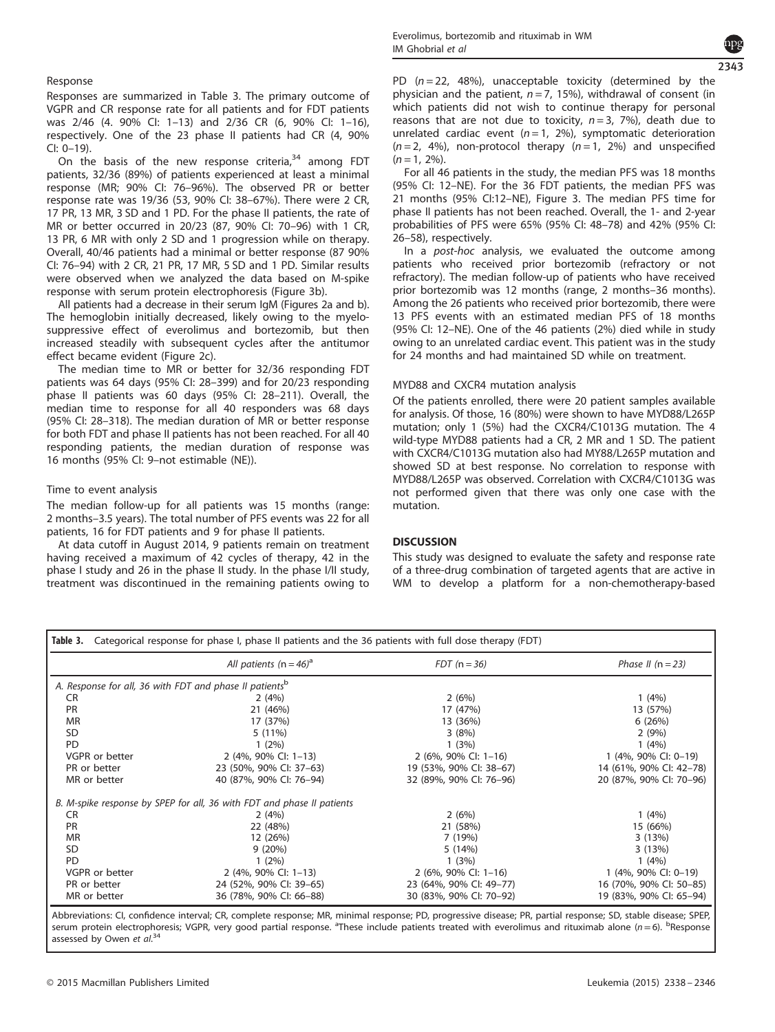#### Response

Responses are summarized in Table 3. The primary outcome of VGPR and CR response rate for all patients and for FDT patients was 2/46 (4. 90% CI: 1–13) and 2/36 CR (6, 90% CI: 1–16), respectively. One of the 23 phase II patients had CR (4, 90% CI: 0–19).

On the basis of the new response criteria, $34$  among FDT patients, 32/36 (89%) of patients experienced at least a minimal response (MR; 90% CI: 76–96%). The observed PR or better response rate was 19/36 (53, 90% CI: 38–67%). There were 2 CR, 17 PR, 13 MR, 3 SD and 1 PD. For the phase II patients, the rate of MR or better occurred in 20/23 (87, 90% CI: 70–96) with 1 CR, 13 PR, 6 MR with only 2 SD and 1 progression while on therapy. Overall, 40/46 patients had a minimal or better response (87 90% CI: 76–94) with 2 CR, 21 PR, 17 MR, 5 SD and 1 PD. Similar results were observed when we analyzed the data based on M-spike response with serum protein electrophoresis [\(Figure 3b](#page-6-0)).

All patients had a decrease in their serum IgM [\(Figures 2a and b\)](#page-6-0). The hemoglobin initially decreased, likely owing to the myelosuppressive effect of everolimus and bortezomib, but then increased steadily with subsequent cycles after the antitumor effect became evident [\(Figure 2c\)](#page-6-0).

The median time to MR or better for 32/36 responding FDT patients was 64 days (95% CI: 28–399) and for 20/23 responding phase II patients was 60 days (95% CI: 28–211). Overall, the median time to response for all 40 responders was 68 days (95% CI: 28–318). The median duration of MR or better response for both FDT and phase II patients has not been reached. For all 40 responding patients, the median duration of response was 16 months (95% CI: 9–not estimable (NE)).

#### Time to event analysis

The median follow-up for all patients was 15 months (range: 2 months–3.5 years). The total number of PFS events was 22 for all patients, 16 for FDT patients and 9 for phase II patients.

At data cutoff in August 2014, 9 patients remain on treatment having received a maximum of 42 cycles of therapy, 42 in the phase I study and 26 in the phase II study. In the phase I/II study, treatment was discontinued in the remaining patients owing to PD  $(n = 22, 48%)$ , unacceptable toxicity (determined by the physician and the patient,  $n = 7$ , 15%), withdrawal of consent (in which patients did not wish to continue therapy for personal reasons that are not due to toxicity,  $n = 3$ , 7%), death due to unrelated cardiac event  $(n = 1, 2\%)$ , symptomatic deterioration  $(n=2, 4\%)$ , non-protocol therapy  $(n=1, 2\%)$  and unspecified  $(n = 1, 2\%).$ 

For all 46 patients in the study, the median PFS was 18 months (95% CI: 12–NE). For the 36 FDT patients, the median PFS was 21 months (95% CI:12–NE), [Figure 3.](#page-6-0) The median PFS time for phase II patients has not been reached. Overall, the 1- and 2-year probabilities of PFS were 65% (95% CI: 48–78) and 42% (95% CI: 26–58), respectively.

In a *post-hoc* analysis, we evaluated the outcome among patients who received prior bortezomib (refractory or not refractory). The median follow-up of patients who have received prior bortezomib was 12 months (range, 2 months–36 months). Among the 26 patients who received prior bortezomib, there were 13 PFS events with an estimated median PFS of 18 months (95% CI: 12–NE). One of the 46 patients (2%) died while in study owing to an unrelated cardiac event. This patient was in the study for 24 months and had maintained SD while on treatment.

#### MYD88 and CXCR4 mutation analysis

Of the patients enrolled, there were 20 patient samples available for analysis. Of those, 16 (80%) were shown to have MYD88/L265P mutation; only 1 (5%) had the CXCR4/C1013G mutation. The 4 wild-type MYD88 patients had a CR, 2 MR and 1 SD. The patient with CXCR4/C1013G mutation also had MY88/L265P mutation and showed SD at best response. No correlation to response with MYD88/L265P was observed. Correlation with CXCR4/C1013G was not performed given that there was only one case with the mutation.

## **DISCUSSION**

This study was designed to evaluate the safety and response rate of a three-drug combination of targeted agents that are active in WM to develop a platform for a non-chemotherapy-based

| Categorical response for phase I, phase II patients and the 36 patients with full dose therapy (FDT)<br>Table 3. |                                                                        |                                 |                         |  |  |
|------------------------------------------------------------------------------------------------------------------|------------------------------------------------------------------------|---------------------------------|-------------------------|--|--|
|                                                                                                                  | All patients ( $n = 46$ ) <sup>a</sup>                                 | $FDT(n=36)$                     | Phase II $(n = 23)$     |  |  |
| A. Response for all, 36 with FDT and phase II patients <sup>b</sup>                                              |                                                                        |                                 |                         |  |  |
| CR                                                                                                               | 2(4%)                                                                  | 2(6%)                           | 1(4%)                   |  |  |
| PR                                                                                                               | 21 (46%)                                                               | 17 (47%)                        | 13 (57%)                |  |  |
| <b>MR</b>                                                                                                        | 17 (37%)                                                               | 13 (36%)                        | 6(26%)                  |  |  |
| <b>SD</b>                                                                                                        | $5(11\%)$                                                              | 3(8%)                           | 2(9%)                   |  |  |
| <b>PD</b>                                                                                                        | $1(2\%)$                                                               | 1(3%)                           | 1(4%)                   |  |  |
| VGPR or better                                                                                                   | $2(4\%, 90\% \text{ Cl}: 1-13)$                                        | $2(6\%, 90\% \text{ Cl}: 1-16)$ | 1 (4%, 90% CI: 0-19)    |  |  |
| PR or better                                                                                                     | 23 (50%, 90% CI: 37-63)                                                | 19 (53%, 90% CI: 38-67)         | 14 (61%, 90% CI: 42-78) |  |  |
| MR or better                                                                                                     | 40 (87%, 90% CI: 76-94)                                                | 32 (89%, 90% CI: 76-96)         | 20 (87%, 90% CI: 70-96) |  |  |
|                                                                                                                  | B. M-spike response by SPEP for all, 36 with FDT and phase II patients |                                 |                         |  |  |
| CR                                                                                                               | 2(4%)                                                                  | 2(6%)                           | 1(4%)                   |  |  |
| <b>PR</b>                                                                                                        | 22 (48%)                                                               | 21 (58%)                        | 15 (66%)                |  |  |
| <b>MR</b>                                                                                                        | 12 (26%)                                                               | 7 (19%)                         | 3(13%)                  |  |  |
| <b>SD</b>                                                                                                        | 9(20%)                                                                 | 5(14%)                          | 3(13%)                  |  |  |
| PD                                                                                                               | $1(2\%)$                                                               | 1(3%)                           | 1(4%)                   |  |  |
| VGPR or better                                                                                                   | 2 (4%, 90% CI: 1-13)                                                   | 2 (6%, 90% CI: $1-16$ )         | 1 (4%, 90% CI: 0-19)    |  |  |
| PR or better                                                                                                     | 24 (52%, 90% CI: 39-65)                                                | 23 (64%, 90% CI: 49-77)         | 16 (70%, 90% CI: 50-85) |  |  |
| MR or better                                                                                                     | 36 (78%, 90% CI: 66-88)                                                | 30 (83%, 90% CI: 70-92)         | 19 (83%, 90% CI: 65-94) |  |  |

Abbreviations: CI, confidence interval; CR, complete response; MR, minimal response; PD, progressive disease; PR, partial response; SD, stable disease; SPEP, serum protein electrophoresis; VGPR, very good partial response. <sup>a</sup>These include patients treated with everolimus and rituximab alone (n=6). <sup>b</sup>Response assessed by Owen et al.<sup>[34](#page-8-0)</sup>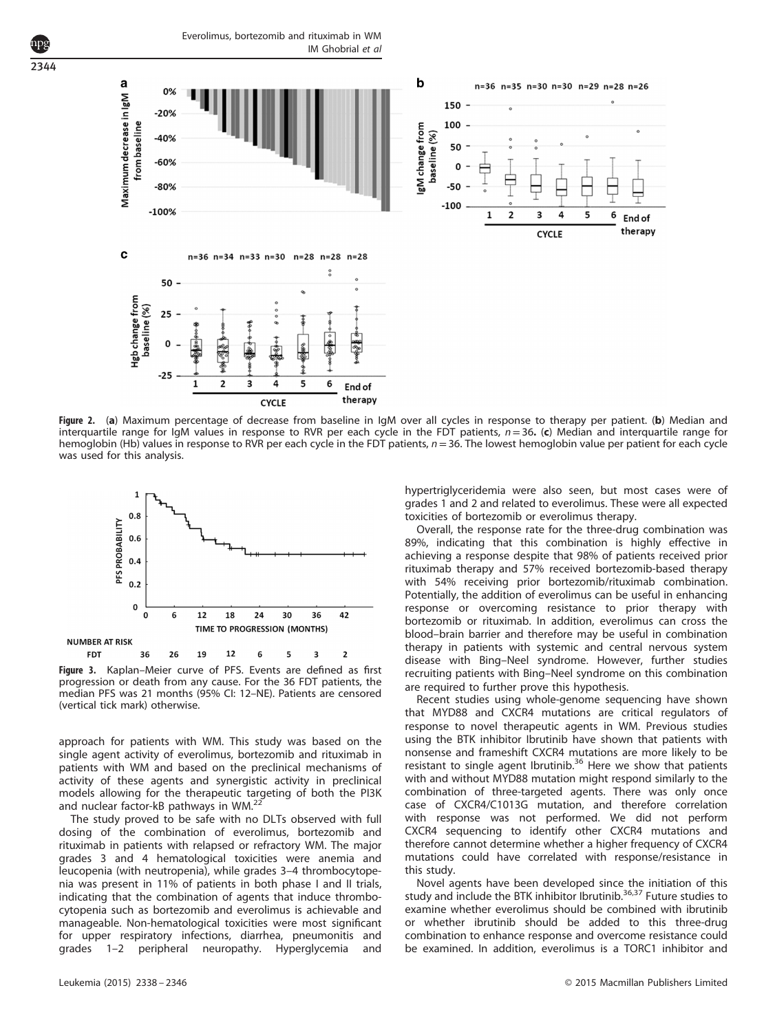$\mathbf b$ a n% Maximum decrease in IgM 150  $-20%$ from baseline 100 gM change from baseline (%)  $-40%$ 50  $-60%$ c  $-80%$  $-50$  $-100$  $-100%$  $\overline{\phantom{a}}$  $\mathbf{1}$  $\mathbf c$ n=36 n=34 n=33 n=30 n=28 n=28 n=28  $\tilde{c}$ 50 Hgb change from<br>baseline (%) 25  $\Omega$ **BA**  $-25$  $\overline{\phantom{a}}$ 5  $\mathbf{1}$ э 4 6 End of therany **CYCLE** 

Everolimus, bortezomib and rituximab in WM

<span id="page-6-0"></span>2344

IM Ghobrial et al



Figure 2. (a) Maximum percentage of decrease from baseline in IgM over all cycles in response to therapy per patient. (b) Median and interquartile range for IgM values in response to RVR per each cycle in the FDT patients,  $n=36$ . (c) Median and interquartile range for hemoglobin (Hb) values in response to RVR per each cycle in the FDT patients,  $n = 36$ . The lowest hemoglobin value per patient for each cycle was used for this analysis.



Figure 3. Kaplan–Meier curve of PFS. Events are defined as first progression or death from any cause. For the 36 FDT patients, the median PFS was 21 months (95% CI: 12–NE). Patients are censored (vertical tick mark) otherwise.

approach for patients with WM. This study was based on the single agent activity of everolimus, bortezomib and rituximab in patients with WM and based on the preclinical mechanisms of activity of these agents and synergistic activity in preclinical models allowing for the therapeutic targeting of both the PI3K and nuclear factor-kB pathways in  $WM.^2$ 

The study proved to be safe with no DLTs observed with full dosing of the combination of everolimus, bortezomib and rituximab in patients with relapsed or refractory WM. The major grades 3 and 4 hematological toxicities were anemia and leucopenia (with neutropenia), while grades 3–4 thrombocytopenia was present in 11% of patients in both phase I and II trials, indicating that the combination of agents that induce thrombocytopenia such as bortezomib and everolimus is achievable and manageable. Non-hematological toxicities were most significant for upper respiratory infections, diarrhea, pneumonitis and grades 1–2 peripheral neuropathy. Hyperglycemia and hypertriglyceridemia were also seen, but most cases were of grades 1 and 2 and related to everolimus. These were all expected toxicities of bortezomib or everolimus therapy.

Overall, the response rate for the three-drug combination was 89%, indicating that this combination is highly effective in achieving a response despite that 98% of patients received prior rituximab therapy and 57% received bortezomib-based therapy with 54% receiving prior bortezomib/rituximab combination. Potentially, the addition of everolimus can be useful in enhancing response or overcoming resistance to prior therapy with bortezomib or rituximab. In addition, everolimus can cross the blood–brain barrier and therefore may be useful in combination therapy in patients with systemic and central nervous system disease with Bing–Neel syndrome. However, further studies recruiting patients with Bing–Neel syndrome on this combination are required to further prove this hypothesis.

Recent studies using whole-genome sequencing have shown that MYD88 and CXCR4 mutations are critical regulators of response to novel therapeutic agents in WM. Previous studies using the BTK inhibitor Ibrutinib have shown that patients with nonsense and frameshift CXCR4 mutations are more likely to be resistant to single agent Ibrutinib.<sup>[36](#page-8-0)</sup> Here we show that patients with and without MYD88 mutation might respond similarly to the combination of three-targeted agents. There was only once case of CXCR4/C1013G mutation, and therefore correlation with response was not performed. We did not perform CXCR4 sequencing to identify other CXCR4 mutations and therefore cannot determine whether a higher frequency of CXCR4 mutations could have correlated with response/resistance in this study.

Novel agents have been developed since the initiation of this study and include the BTK inhibitor Ibrutinib.<sup>[36,37](#page-8-0)</sup> Future studies to examine whether everolimus should be combined with ibrutinib or whether ibrutinib should be added to this three-drug combination to enhance response and overcome resistance could be examined. In addition, everolimus is a TORC1 inhibitor and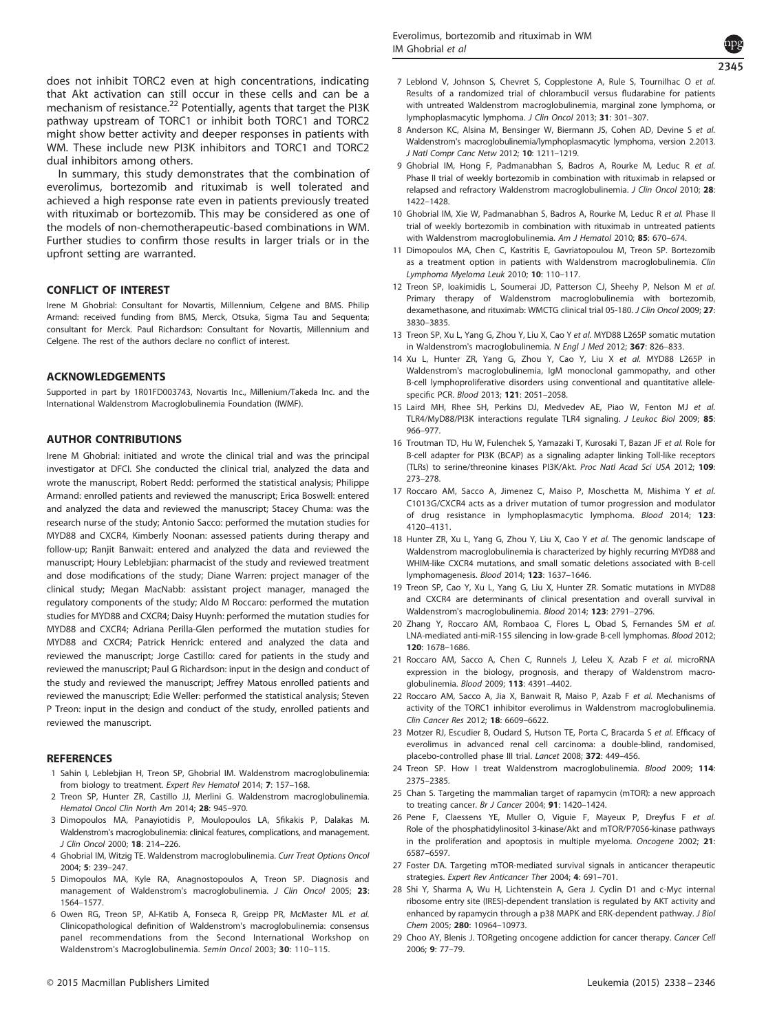<span id="page-7-0"></span>does not inhibit TORC2 even at high concentrations, indicating that Akt activation can still occur in these cells and can be a mechanism of resistance.<sup>22</sup> Potentially, agents that target the PI3K pathway upstream of TORC1 or inhibit both TORC1 and TORC2 might show better activity and deeper responses in patients with WM. These include new PI3K inhibitors and TORC1 and TORC2 dual inhibitors among others.

In summary, this study demonstrates that the combination of everolimus, bortezomib and rituximab is well tolerated and achieved a high response rate even in patients previously treated with rituximab or bortezomib. This may be considered as one of the models of non-chemotherapeutic-based combinations in WM. Further studies to confirm those results in larger trials or in the upfront setting are warranted.

# CONFLICT OF INTEREST

Irene M Ghobrial: Consultant for Novartis, Millennium, Celgene and BMS. Philip Armand: received funding from BMS, Merck, Otsuka, Sigma Tau and Sequenta; consultant for Merck. Paul Richardson: Consultant for Novartis, Millennium and Celgene. The rest of the authors declare no conflict of interest.

#### ACKNOWLEDGEMENTS

Supported in part by 1R01FD003743, Novartis Inc., Millenium/Takeda Inc. and the International Waldenstrom Macroglobulinemia Foundation (IWMF).

## AUTHOR CONTRIBUTIONS

Irene M Ghobrial: initiated and wrote the clinical trial and was the principal investigator at DFCI. She conducted the clinical trial, analyzed the data and wrote the manuscript, Robert Redd: performed the statistical analysis; Philippe Armand: enrolled patients and reviewed the manuscript; Erica Boswell: entered and analyzed the data and reviewed the manuscript; Stacey Chuma: was the research nurse of the study; Antonio Sacco: performed the mutation studies for MYD88 and CXCR4, Kimberly Noonan: assessed patients during therapy and follow-up; Ranjit Banwait: entered and analyzed the data and reviewed the manuscript; Houry Leblebjian: pharmacist of the study and reviewed treatment and dose modifications of the study; Diane Warren: project manager of the clinical study; Megan MacNabb: assistant project manager, managed the regulatory components of the study; Aldo M Roccaro: performed the mutation studies for MYD88 and CXCR4; Daisy Huynh: performed the mutation studies for MYD88 and CXCR4; Adriana Perilla-Glen performed the mutation studies for MYD88 and CXCR4; Patrick Henrick: entered and analyzed the data and reviewed the manuscript; Jorge Castillo: cared for patients in the study and reviewed the manuscript; Paul G Richardson: input in the design and conduct of the study and reviewed the manuscript; Jeffrey Matous enrolled patients and reviewed the manuscript; Edie Weller: performed the statistical analysis; Steven P Treon: input in the design and conduct of the study, enrolled patients and reviewed the manuscript.

#### **REFERENCES**

- 1 Sahin I, Leblebjian H, Treon SP, Ghobrial IM. Waldenstrom macroglobulinemia: from biology to treatment. Expert Rev Hematol 2014; 7: 157–168.
- 2 Treon SP, Hunter ZR, Castillo JJ, Merlini G. Waldenstrom macroglobulinemia. Hematol Oncol Clin North Am 2014; 28: 945–970.
- 3 Dimopoulos MA, Panayiotidis P, Moulopoulos LA, Sfikakis P, Dalakas M. Waldenstrom's macroglobulinemia: clinical features, complications, and management. J Clin Oncol 2000; 18: 214–226.
- 4 Ghobrial IM, Witzig TE. Waldenstrom macroglobulinemia. Curr Treat Options Oncol 2004; 5: 239–247.
- 5 Dimopoulos MA, Kyle RA, Anagnostopoulos A, Treon SP. Diagnosis and management of Waldenstrom's macroglobulinemia. J Clin Oncol 2005; 23: 1564–1577.
- 6 Owen RG, Treon SP, Al-Katib A, Fonseca R, Greipp PR, McMaster ML et al. Clinicopathological definition of Waldenstrom's macroglobulinemia: consensus panel recommendations from the Second International Workshop on Waldenstrom's Macroglobulinemia. Semin Oncol 2003; 30: 110–115.
- © 2015 Macmillan Publishers Limited Leukemia (2015) 2338 2346
- 7 Leblond V, Johnson S, Chevret S, Copplestone A, Rule S, Tournilhac O et al. Results of a randomized trial of chlorambucil versus fludarabine for patients with untreated Waldenstrom macroglobulinemia, marginal zone lymphoma, or lymphoplasmacytic lymphoma. J Clin Oncol 2013; 31: 301–307.
- 8 Anderson KC, Alsina M, Bensinger W, Biermann JS, Cohen AD, Devine S et al. Waldenstrom's macroglobulinemia/lymphoplasmacytic lymphoma, version 2.2013. J Natl Compr Canc Netw 2012; 10: 1211–1219.
- 9 Ghobrial IM, Hong F, Padmanabhan S, Badros A, Rourke M, Leduc R et al. Phase II trial of weekly bortezomib in combination with rituximab in relapsed or relapsed and refractory Waldenstrom macroglobulinemia. J Clin Oncol 2010; 28: 1422–1428.
- 10 Ghobrial IM, Xie W, Padmanabhan S, Badros A, Rourke M, Leduc R et al. Phase II trial of weekly bortezomib in combination with rituximab in untreated patients with Waldenstrom macroglobulinemia. Am J Hematol 2010: 85: 670-674.
- 11 Dimopoulos MA, Chen C, Kastritis E, Gavriatopoulou M, Treon SP. Bortezomib as a treatment option in patients with Waldenstrom macroglobulinemia. Clin Lymphoma Myeloma Leuk 2010; 10: 110–117.
- 12 Treon SP, Ioakimidis L, Soumerai JD, Patterson CJ, Sheehy P, Nelson M et al. Primary therapy of Waldenstrom macroglobulinemia with bortezomib, dexamethasone, and rituximab: WMCTG clinical trial 05-180. J Clin Oncol 2009; 27: 3830–3835.
- 13 Treon SP, Xu L, Yang G, Zhou Y, Liu X, Cao Y et al. MYD88 L265P somatic mutation in Waldenstrom's macroglobulinemia. N Engl J Med 2012; 367: 826-833.
- 14 Xu L, Hunter ZR, Yang G, Zhou Y, Cao Y, Liu X et al. MYD88 L265P in Waldenstrom's macroglobulinemia, IgM monoclonal gammopathy, and other B-cell lymphoproliferative disorders using conventional and quantitative allelespecific PCR. Blood 2013; 121: 2051–2058.
- 15 Laird MH, Rhee SH, Perkins DJ, Medvedev AE, Piao W, Fenton MJ et al. TLR4/MyD88/PI3K interactions regulate TLR4 signaling. J Leukoc Biol 2009; 85: 966–977.
- 16 Troutman TD, Hu W, Fulenchek S, Yamazaki T, Kurosaki T, Bazan JF et al. Role for B-cell adapter for PI3K (BCAP) as a signaling adapter linking Toll-like receptors (TLRs) to serine/threonine kinases PI3K/Akt. Proc Natl Acad Sci USA 2012; 109: 273–278.
- 17 Roccaro AM, Sacco A, Jimenez C, Maiso P, Moschetta M, Mishima Y et al. C1013G/CXCR4 acts as a driver mutation of tumor progression and modulator of drug resistance in lymphoplasmacytic lymphoma. Blood 2014; 123: 4120–4131.
- 18 Hunter ZR, Xu L, Yang G, Zhou Y, Liu X, Cao Y et al. The genomic landscape of Waldenstrom macroglobulinemia is characterized by highly recurring MYD88 and WHIM-like CXCR4 mutations, and small somatic deletions associated with B-cell lymphomagenesis. Blood 2014; 123: 1637–1646.
- 19 Treon SP, Cao Y, Xu L, Yang G, Liu X, Hunter ZR. Somatic mutations in MYD88 and CXCR4 are determinants of clinical presentation and overall survival in Waldenstrom's macroglobulinemia. Blood 2014; 123: 2791–2796.
- 20 Zhang Y, Roccaro AM, Rombaoa C, Flores L, Obad S, Fernandes SM et al. LNA-mediated anti-miR-155 silencing in low-grade B-cell lymphomas. Blood 2012; 120: 1678–1686.
- 21 Roccaro AM, Sacco A, Chen C, Runnels J, Leleu X, Azab F et al. microRNA expression in the biology, prognosis, and therapy of Waldenstrom macroglobulinemia. Blood 2009; 113: 4391–4402.
- 22 Roccaro AM, Sacco A, Jia X, Banwait R, Maiso P, Azab F et al. Mechanisms of activity of the TORC1 inhibitor everolimus in Waldenstrom macroglobulinemia. Clin Cancer Res 2012; 18: 6609–6622.
- 23 Motzer RJ, Escudier B, Oudard S, Hutson TE, Porta C, Bracarda S et al. Efficacy of everolimus in advanced renal cell carcinoma: a double-blind, randomised, placebo-controlled phase III trial. Lancet 2008; 372: 449–456.
- 24 Treon SP. How I treat Waldenstrom macroglobulinemia. Blood 2009; 114: 2375–2385.
- 25 Chan S. Targeting the mammalian target of rapamycin (mTOR): a new approach to treating cancer. Br J Cancer 2004; 91: 1420–1424.
- 26 Pene F, Claessens YE, Muller O, Viguie F, Mayeux P, Dreyfus F et al. Role of the phosphatidylinositol 3-kinase/Akt and mTOR/P70S6-kinase pathways in the proliferation and apoptosis in multiple myeloma. Oncogene 2002; 21: 6587–6597.
- 27 Foster DA. Targeting mTOR-mediated survival signals in anticancer therapeutic strategies. Expert Rev Anticancer Ther 2004; 4: 691–701.
- 28 Shi Y, Sharma A, Wu H, Lichtenstein A, Gera J. Cyclin D1 and c-Myc internal ribosome entry site (IRES)-dependent translation is regulated by AKT activity and enhanced by rapamycin through a p38 MAPK and ERK-dependent pathway. J Biol Chem 2005; 280: 10964–10973.
- 29 Choo AY, Blenis J. TORgeting oncogene addiction for cancer therapy. Cancer Cell 2006; 9: 77–79.